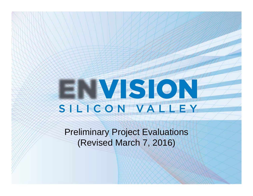# ENVISION

Preliminary Project Evaluations (Revised March 7, 2016)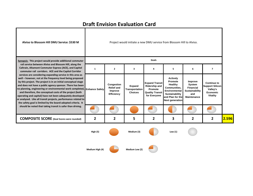

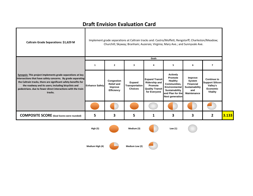┓

Т

| Caltrain Grade Separations: \$1,629 M                                                                                                                                                                                                                                                                                          |                       | Implement grade separations at Caltrain tracks and: Castro/Moffett; Rengstorff; Charleston/Meadow;<br>Churchill; Skyway; Branham; Auzerais; Virginia; Mary Ave.; and Sunnyvale Ave. |                                            |                                                                                                    |                                                                                                                                               |                                                                                      |                                                                                                |       |  |
|--------------------------------------------------------------------------------------------------------------------------------------------------------------------------------------------------------------------------------------------------------------------------------------------------------------------------------|-----------------------|-------------------------------------------------------------------------------------------------------------------------------------------------------------------------------------|--------------------------------------------|----------------------------------------------------------------------------------------------------|-----------------------------------------------------------------------------------------------------------------------------------------------|--------------------------------------------------------------------------------------|------------------------------------------------------------------------------------------------|-------|--|
|                                                                                                                                                                                                                                                                                                                                |                       |                                                                                                                                                                                     |                                            | Goals                                                                                              |                                                                                                                                               |                                                                                      |                                                                                                |       |  |
|                                                                                                                                                                                                                                                                                                                                | $\mathbf{1}$          | $\overline{2}$                                                                                                                                                                      | 3                                          | 4                                                                                                  | 5                                                                                                                                             | 6                                                                                    | $\overline{\phantom{a}}$                                                                       |       |  |
| Synopsis: This project implements grade separations at key<br>intersections that have safety concerns. By grade separating<br>the Caltrain tracks, there are significant safety benefits for<br>the roadway and its users; including bicyclists and<br>pedestrians. due to fewer direct interactions with the train<br>tracks. | <b>Enhance Safety</b> | Congestion<br><b>Relief and</b><br>Improve<br><b>Efficiency</b>                                                                                                                     | Expand<br>Transportation<br><b>Choices</b> | <b>Expand Transit</b><br><b>Ridership and</b><br>Promote<br><b>Quality Transit</b><br>for Everyone | <b>Actively</b><br>Promote<br><b>Healthy</b><br>Communities,<br>Environmental<br>Sustainability<br>and Plan for the<br><b>Next generation</b> | Improve<br>System<br><b>Financial</b><br>Sustainability<br>and<br><b>Maintenance</b> | <b>Continue to</b><br><b>Support Silicon</b><br>Valley's<br><b>Economic</b><br><b>Vitality</b> |       |  |
|                                                                                                                                                                                                                                                                                                                                |                       |                                                                                                                                                                                     |                                            |                                                                                                    |                                                                                                                                               |                                                                                      |                                                                                                |       |  |
| <b>COMPOSITE SCORE</b> (Goal Scores were rounded)                                                                                                                                                                                                                                                                              | 5                     | 3                                                                                                                                                                                   | 5                                          | 1                                                                                                  | 3                                                                                                                                             | 3                                                                                    | $\overline{\mathbf{2}}$                                                                        | 3.133 |  |
|                                                                                                                                                                                                                                                                                                                                | <b>High (5)</b>       |                                                                                                                                                                                     | Medium (3)                                 |                                                                                                    | Low $(1)$                                                                                                                                     |                                                                                      |                                                                                                |       |  |
|                                                                                                                                                                                                                                                                                                                                | Medium High (4)       |                                                                                                                                                                                     | Medium Low (2)                             |                                                                                                    |                                                                                                                                               |                                                                                      |                                                                                                |       |  |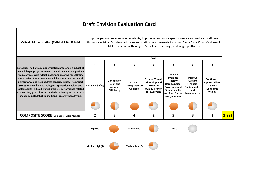т

| Caltrain Modernization (CalMod 2.0): \$214 M                                                                                                                                                                                                                                                                                                                                                                                                                                                                                                                                        |                       |                                                                        |                                                   |                                                                                                    | Improve performance, reduce pollutants, improve operations, capacity, service and reduce dwell time<br>through electrified/modernized trains and station improvements including: Santa Clara County's share of<br>EMU conversion with longer EMUs, level boardings, and longer platforms. |                                                                                      |                                                                                  |       |
|-------------------------------------------------------------------------------------------------------------------------------------------------------------------------------------------------------------------------------------------------------------------------------------------------------------------------------------------------------------------------------------------------------------------------------------------------------------------------------------------------------------------------------------------------------------------------------------|-----------------------|------------------------------------------------------------------------|---------------------------------------------------|----------------------------------------------------------------------------------------------------|-------------------------------------------------------------------------------------------------------------------------------------------------------------------------------------------------------------------------------------------------------------------------------------------|--------------------------------------------------------------------------------------|----------------------------------------------------------------------------------|-------|
|                                                                                                                                                                                                                                                                                                                                                                                                                                                                                                                                                                                     | 1                     | $\overline{2}$                                                         | 3                                                 | Goals<br>4                                                                                         | 5                                                                                                                                                                                                                                                                                         | 6                                                                                    | $\overline{\phantom{a}}$                                                         |       |
| Synopsis: The Caltrain modernization program is a subset of<br>a much larger program to electrify Caltrain and add positive<br>train control. With ridership demand growing for Caltrain,<br>these series of improvements will help improve the overall<br>performance and help address capacity issues. The project<br>scores very well in expanding transportation choices and<br>sustainability. Like all transit projects, performance related<br>to the safety goal is limited by the board-adopted criteria. It<br>should be noted that taking transit is safer than driving. | <b>Enhance Safety</b> | <b>Congestion</b><br><b>Relief and</b><br>Improve<br><b>Efficiency</b> | Expand<br><b>Transportation</b><br><b>Choices</b> | <b>Expand Transit</b><br><b>Ridership and</b><br>Promote<br><b>Quality Transit</b><br>for Everyone | <b>Actively</b><br>Promote<br>Healthy<br><b>Communities.</b><br><b>Environmental</b><br><b>Sustainability</b><br>and Plan for the<br><b>Next generation</b>                                                                                                                               | Improve<br>System<br><b>Financial</b><br>Sustainability<br>and<br><b>Maintenance</b> | <b>Continue to</b><br><b>Support Silicon</b><br>Valley's<br>Economic<br>Vitality |       |
|                                                                                                                                                                                                                                                                                                                                                                                                                                                                                                                                                                                     |                       |                                                                        |                                                   |                                                                                                    |                                                                                                                                                                                                                                                                                           |                                                                                      |                                                                                  |       |
| <b>COMPOSITE SCORE</b> (Goal Scores were rounded)                                                                                                                                                                                                                                                                                                                                                                                                                                                                                                                                   | 2                     | 3                                                                      | 4                                                 | 2                                                                                                  | 5                                                                                                                                                                                                                                                                                         | 3                                                                                    | $\overline{2}$                                                                   | 2.992 |
|                                                                                                                                                                                                                                                                                                                                                                                                                                                                                                                                                                                     | High(5)               |                                                                        | Medium (3)                                        |                                                                                                    | Low (1)                                                                                                                                                                                                                                                                                   |                                                                                      |                                                                                  |       |

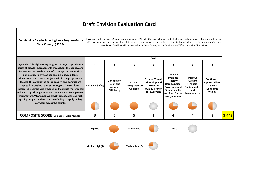٦

| Countywide Bicycle Superhighway Program-Santa<br>Clara County: \$325 M                                                                                                                                                                                                                                                                                                                                                                                                                                                                    | This project will construct 25 bicycle superhighways (220 miles) to connect jobs, residents, transit, and downtowns. Corridors will have a<br>uniform design, provide superior bicycle infrastructure, and showcase innovative treatments that prioritize bicyclist safety, comfort, and<br>convenience. Corridors will be selected from Cross County Bicycle Corridors in VTA's Countywide Bicycle Plan. |                                                          |                                            |                                                                                                    |                                                                                                                                               |                                                                                             |                                                                                                |       |
|-------------------------------------------------------------------------------------------------------------------------------------------------------------------------------------------------------------------------------------------------------------------------------------------------------------------------------------------------------------------------------------------------------------------------------------------------------------------------------------------------------------------------------------------|-----------------------------------------------------------------------------------------------------------------------------------------------------------------------------------------------------------------------------------------------------------------------------------------------------------------------------------------------------------------------------------------------------------|----------------------------------------------------------|--------------------------------------------|----------------------------------------------------------------------------------------------------|-----------------------------------------------------------------------------------------------------------------------------------------------|---------------------------------------------------------------------------------------------|------------------------------------------------------------------------------------------------|-------|
|                                                                                                                                                                                                                                                                                                                                                                                                                                                                                                                                           |                                                                                                                                                                                                                                                                                                                                                                                                           |                                                          |                                            | Goals                                                                                              |                                                                                                                                               |                                                                                             |                                                                                                |       |
| Synopsis: This high scoring program of projects provides a<br>series of bicycle improvements throughout the county, and                                                                                                                                                                                                                                                                                                                                                                                                                   | 1                                                                                                                                                                                                                                                                                                                                                                                                         | $\mathbf{2}$                                             | 3                                          | 4                                                                                                  | 5                                                                                                                                             | 6                                                                                           | $\overline{\phantom{a}}$                                                                       |       |
| focuses on the development of an integrated network of<br>bicycle superhighways connecting jobs, residents,<br>downtowns and transit. Projects within the program are<br>located throughout the entire county, and benefits are<br>spread throughout the entire region. The resulting<br>integrated network will enhance and facilitate more transit<br>and walk trips through improved connectivity. To implement<br>this program, VTA would work with cities to develop high<br>quality design standards and wayfinding to apply on key | <b>Enhance Safety</b>                                                                                                                                                                                                                                                                                                                                                                                     | Congestion<br><b>Relief and</b><br>Improve<br>Efficiency | Expand<br>Transportation<br><b>Choices</b> | <b>Expand Transit</b><br><b>Ridership and</b><br>Promote<br><b>Quality Transit</b><br>for Everyone | <b>Actively</b><br>Promote<br>Healthy<br><b>Communities.</b><br>Environmental<br>Sustainability<br>and Plan for the<br><b>Next generation</b> | Improve<br>System<br><b>Financial</b><br><b>Sustainability</b><br>and<br><b>Maintenance</b> | <b>Continue to</b><br><b>Support Silicon</b><br>Valley's<br><b>Economic</b><br><b>Vitality</b> |       |
| corridors across the county.                                                                                                                                                                                                                                                                                                                                                                                                                                                                                                              |                                                                                                                                                                                                                                                                                                                                                                                                           |                                                          |                                            |                                                                                                    |                                                                                                                                               |                                                                                             |                                                                                                |       |
| <b>COMPOSITE SCORE</b> (Goal Scores were rounded)                                                                                                                                                                                                                                                                                                                                                                                                                                                                                         | 3                                                                                                                                                                                                                                                                                                                                                                                                         | 5                                                        | 5                                          | 1                                                                                                  | 4                                                                                                                                             | 4                                                                                           | 3                                                                                              | 3.443 |
|                                                                                                                                                                                                                                                                                                                                                                                                                                                                                                                                           | <b>High (5)</b>                                                                                                                                                                                                                                                                                                                                                                                           |                                                          | Medium (3)                                 |                                                                                                    | Low $(1)$                                                                                                                                     |                                                                                             |                                                                                                |       |

**Medium**

Т

Г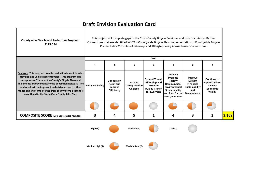| <b>Countywide Bicycle and Pedestrian Program:</b><br>\$175.0 M                                                                                                                                                                                                                                                                                                                                                       |                       | This project will complete gaps in the Cross County Bicycle Corridors and construct Across Barrier<br>Connections that are identified in VTA's Countywide Bicycle Plan. Implementation of Countywide Bicycle<br>Plan includes 250 miles of bikeways and 18 high-priority Across Barrier Connections. |                                            |                                                                                                    |                                                                                                                                                      |                                                                                      |                                                                                                |       |  |
|----------------------------------------------------------------------------------------------------------------------------------------------------------------------------------------------------------------------------------------------------------------------------------------------------------------------------------------------------------------------------------------------------------------------|-----------------------|------------------------------------------------------------------------------------------------------------------------------------------------------------------------------------------------------------------------------------------------------------------------------------------------------|--------------------------------------------|----------------------------------------------------------------------------------------------------|------------------------------------------------------------------------------------------------------------------------------------------------------|--------------------------------------------------------------------------------------|------------------------------------------------------------------------------------------------|-------|--|
|                                                                                                                                                                                                                                                                                                                                                                                                                      | 1                     | $\overline{2}$                                                                                                                                                                                                                                                                                       | 3                                          | Goals<br>4                                                                                         | 5                                                                                                                                                    | 6                                                                                    | $\overline{\phantom{a}}$                                                                       |       |  |
|                                                                                                                                                                                                                                                                                                                                                                                                                      |                       |                                                                                                                                                                                                                                                                                                      |                                            |                                                                                                    |                                                                                                                                                      |                                                                                      |                                                                                                |       |  |
| Synopsis: This program provides reduction in vehicle miles<br>traveled and vehicle hours traveled. This program also<br>incorporates Cities and the County's Bicycle Plans and<br>implements improvements to the pedestrian network. The<br>end result will be improved pedestrian access to other<br>modes and will complete the cross county bicycle corridors<br>as outlined in the Santa Clara County Bike Plan. | <b>Enhance Safety</b> | Congestion<br><b>Relief and</b><br>Improve<br><b>Efficiency</b>                                                                                                                                                                                                                                      | Expand<br>Transportation<br><b>Choices</b> | <b>Expand Transit</b><br><b>Ridership and</b><br>Promote<br><b>Quality Transit</b><br>for Everyone | <b>Actively</b><br>Promote<br><b>Healthy</b><br><b>Communities.</b><br>Environmental<br>Sustainability<br>and Plan for the<br><b>Next generation</b> | Improve<br>System<br><b>Financial</b><br>Sustainability<br>and<br><b>Maintenance</b> | <b>Continue to</b><br><b>Support Silicon</b><br>Valley's<br><b>Economic</b><br><b>Vitality</b> |       |  |
|                                                                                                                                                                                                                                                                                                                                                                                                                      |                       |                                                                                                                                                                                                                                                                                                      |                                            |                                                                                                    |                                                                                                                                                      |                                                                                      |                                                                                                |       |  |
| <b>COMPOSITE SCORE</b> (Goal Scores were rounded)                                                                                                                                                                                                                                                                                                                                                                    | 3                     | 4                                                                                                                                                                                                                                                                                                    | 5                                          | 1                                                                                                  | 4                                                                                                                                                    | 3                                                                                    | $\overline{\mathbf{2}}$                                                                        | 3.169 |  |
|                                                                                                                                                                                                                                                                                                                                                                                                                      | <b>High (5)</b>       |                                                                                                                                                                                                                                                                                                      | Medium (3)                                 |                                                                                                    | Low $(1)$                                                                                                                                            |                                                                                      |                                                                                                |       |  |
|                                                                                                                                                                                                                                                                                                                                                                                                                      |                       |                                                                                                                                                                                                                                                                                                      |                                            |                                                                                                    |                                                                                                                                                      |                                                                                      |                                                                                                |       |  |

**Medium**

 $\blacksquare$ 

 $\mathbf{I}$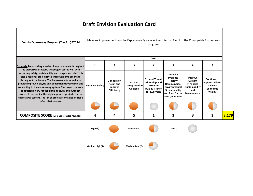| County Expressway Program (Tier 1): \$970 M                                                                                                                                                                                                                                                                                                                                                                                                                                                                                                      | Mainline improvements on the Expressway System as identified on Tier 1 of the Countywide Expressway<br>Program. |                                                                 |                                            |                                                                                                    |                                                                                                                                                      |                                                                                      |                                                                                         |       |
|--------------------------------------------------------------------------------------------------------------------------------------------------------------------------------------------------------------------------------------------------------------------------------------------------------------------------------------------------------------------------------------------------------------------------------------------------------------------------------------------------------------------------------------------------|-----------------------------------------------------------------------------------------------------------------|-----------------------------------------------------------------|--------------------------------------------|----------------------------------------------------------------------------------------------------|------------------------------------------------------------------------------------------------------------------------------------------------------|--------------------------------------------------------------------------------------|-----------------------------------------------------------------------------------------|-------|
| Synopsis: By providing a series of improvements throughout                                                                                                                                                                                                                                                                                                                                                                                                                                                                                       | 1                                                                                                               | $\mathbf{2}$                                                    | 3                                          | Goals<br>4                                                                                         | 5                                                                                                                                                    | 6                                                                                    | $\overline{7}$                                                                          |       |
| the expressway system, this project scores well with<br>increasing safety, sustainability and congestion relief. It is<br>also a regional project since improvements are made<br>throughout the County. The improvements would also<br>provide improved bicycle and pedestrian travel within and<br>connecting to the expressway system. The project sponsor<br>conducted a very robust planning study and outreach<br>process to determine the highest priority projects for the<br>expressway system. The list of projects contained in Tier 1 | <b>Enhance Safety</b>                                                                                           | Congestion<br><b>Relief and</b><br>Improve<br><b>Efficiency</b> | Expand<br>Transportation<br><b>Choices</b> | <b>Expand Transit</b><br><b>Ridership and</b><br>Promote<br><b>Quality Transit</b><br>for Everyone | <b>Actively</b><br>Promote<br>Healthy<br><b>Communities.</b><br><b>Environmental</b><br>Sustainability<br>and Plan for the<br><b>Next generation</b> | Improve<br><b>System</b><br><b>Financial</b><br>Sustainability<br>and<br>Maintenance | <b>Continue to</b><br><b>Support Silicon</b><br>Valley's<br><b>Economic</b><br>Vitality |       |
| reflect that process.                                                                                                                                                                                                                                                                                                                                                                                                                                                                                                                            |                                                                                                                 |                                                                 |                                            |                                                                                                    |                                                                                                                                                      |                                                                                      |                                                                                         |       |
| <b>COMPOSITE SCORE</b> (Goal Scores were rounded)                                                                                                                                                                                                                                                                                                                                                                                                                                                                                                | 4                                                                                                               | 4                                                               | 5                                          | 1                                                                                                  | 3                                                                                                                                                    | 3                                                                                    | 3                                                                                       | 3.179 |
|                                                                                                                                                                                                                                                                                                                                                                                                                                                                                                                                                  | <b>High (5)</b>                                                                                                 |                                                                 | Medium (3)                                 |                                                                                                    | Low $(1)$                                                                                                                                            |                                                                                      |                                                                                         |       |

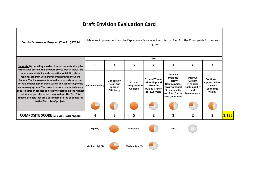| County Expressway Program (Tier 2): \$173 M                                                                                                                                                                                                                                                                                                                                                                                                                                                                                                                                                                         |                       |                                                                 |                                                          | Program.                                                                                           | Mainline improvements on the Expressway System as identified on Tier 2 of the Countywide Expressway                                                  |                                                                                      |                                                                                         |       |
|---------------------------------------------------------------------------------------------------------------------------------------------------------------------------------------------------------------------------------------------------------------------------------------------------------------------------------------------------------------------------------------------------------------------------------------------------------------------------------------------------------------------------------------------------------------------------------------------------------------------|-----------------------|-----------------------------------------------------------------|----------------------------------------------------------|----------------------------------------------------------------------------------------------------|------------------------------------------------------------------------------------------------------------------------------------------------------|--------------------------------------------------------------------------------------|-----------------------------------------------------------------------------------------|-------|
|                                                                                                                                                                                                                                                                                                                                                                                                                                                                                                                                                                                                                     |                       |                                                                 |                                                          | Goals                                                                                              |                                                                                                                                                      |                                                                                      |                                                                                         |       |
| Synopsis: By providing a series of improvements along the<br>expressway system, this program scores well in increasing<br>safety, sustainability and congestion relief. It is also a<br>regional program with improvements throughout the<br>County. The improvements would also provide improved<br>bicycle and pedestrian travel within and connecting to the<br>expressway system. The project sponsor conducted a very<br>robust outreach process and study to determine the highest<br>priority projects for expressway system. The Tier 2 list<br>reflects projects that are a secondary priority as compared | $\mathbf{1}$          | $\overline{2}$                                                  | 3                                                        | Δ                                                                                                  | 5                                                                                                                                                    | 6                                                                                    | $\overline{ }$                                                                          |       |
|                                                                                                                                                                                                                                                                                                                                                                                                                                                                                                                                                                                                                     | <b>Enhance Safety</b> | Congestion<br><b>Relief and</b><br>Improve<br><b>Efficiency</b> | <b>Expand</b><br><b>Transportation</b><br><b>Choices</b> | <b>Expand Transit</b><br><b>Ridership and</b><br>Promote<br><b>Quality Transit</b><br>for Everyone | <b>Actively</b><br><b>Promote</b><br>Healthy<br>Communities,<br>Environmental<br><b>Sustainability</b><br>and Plan for the<br><b>Next generation</b> | Improve<br>System<br><b>Financial</b><br><b>Sustainability</b><br>and<br>Maintenance | <b>Continue to</b><br><b>Support Silicon</b><br>Valley's<br>Economic<br><b>Vitality</b> |       |
| to the Tier 1 list of projects.                                                                                                                                                                                                                                                                                                                                                                                                                                                                                                                                                                                     |                       |                                                                 |                                                          |                                                                                                    |                                                                                                                                                      |                                                                                      |                                                                                         |       |
| <b>COMPOSITE SCORE</b> (Goal Scores were rounded)                                                                                                                                                                                                                                                                                                                                                                                                                                                                                                                                                                   | 4                     | 3                                                               | 5                                                        | 2                                                                                                  | 3                                                                                                                                                    | 2                                                                                    | 3                                                                                       | 3.135 |
|                                                                                                                                                                                                                                                                                                                                                                                                                                                                                                                                                                                                                     | <b>High (5)</b>       |                                                                 | Medium (3)                                               |                                                                                                    | Low $(1)$                                                                                                                                            |                                                                                      |                                                                                         |       |

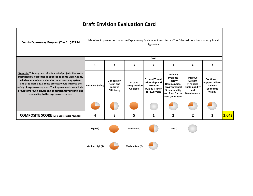| County Expressway Program (Tier 3): \$221 M                                                                                                                                                                                                                                                                                                                                                                   |                       | Mainline improvements on the Expressway System as identified as Tier 3 based on submission by Local<br>Agencies. |                                            |                                                                                                    |                                                                                                                                                             |                                                                                      |                                                                                         |       |  |
|---------------------------------------------------------------------------------------------------------------------------------------------------------------------------------------------------------------------------------------------------------------------------------------------------------------------------------------------------------------------------------------------------------------|-----------------------|------------------------------------------------------------------------------------------------------------------|--------------------------------------------|----------------------------------------------------------------------------------------------------|-------------------------------------------------------------------------------------------------------------------------------------------------------------|--------------------------------------------------------------------------------------|-----------------------------------------------------------------------------------------|-------|--|
|                                                                                                                                                                                                                                                                                                                                                                                                               |                       |                                                                                                                  |                                            | Goals                                                                                              |                                                                                                                                                             |                                                                                      |                                                                                         |       |  |
|                                                                                                                                                                                                                                                                                                                                                                                                               | $\mathbf{1}$          | $\mathbf{2}$                                                                                                     | $\overline{\mathbf{3}}$                    | 4                                                                                                  | 5                                                                                                                                                           | 6                                                                                    | $\overline{7}$                                                                          |       |  |
| Synopsis: This program reflects a set of projects that were<br>submitted by local cities as opposed to Santa Clara County<br>which operated and maintains the expressway system.<br>Similar to Tiers 1 & 2, these projects would improve the<br>safety of expressway system. The improvements would also<br>provide improved bicycle and pedestrian travel within and<br>connecting to the expressway system. | <b>Enhance Safety</b> | Congestion<br><b>Relief and</b><br>Improve<br><b>Efficiency</b>                                                  | Expand<br>Transportation<br><b>Choices</b> | <b>Expand Transit</b><br><b>Ridership and</b><br>Promote<br><b>Quality Transit</b><br>for Everyone | <b>Actively</b><br>Promote<br><b>Healthy</b><br><b>Communities.</b><br>Environmental<br><b>Sustainability</b><br>and Plan for the<br><b>Next generation</b> | Improve<br>System<br><b>Financial</b><br>Sustainability<br>and<br><b>Maintenance</b> | <b>Continue to</b><br><b>Support Silicon</b><br>Valley's<br><b>Economic</b><br>Vitality |       |  |
|                                                                                                                                                                                                                                                                                                                                                                                                               |                       |                                                                                                                  |                                            |                                                                                                    |                                                                                                                                                             |                                                                                      |                                                                                         |       |  |
| <b>COMPOSITE SCORE</b> (Goal Scores were rounded)                                                                                                                                                                                                                                                                                                                                                             | 4                     | 3                                                                                                                | 5                                          | 1                                                                                                  | $\overline{2}$                                                                                                                                              | 2                                                                                    | $\overline{2}$                                                                          | 2.643 |  |
|                                                                                                                                                                                                                                                                                                                                                                                                               | <b>High (5)</b>       |                                                                                                                  | Medium (3)                                 |                                                                                                    | Low $(1)$                                                                                                                                                   |                                                                                      |                                                                                         |       |  |
|                                                                                                                                                                                                                                                                                                                                                                                                               |                       |                                                                                                                  |                                            |                                                                                                    |                                                                                                                                                             |                                                                                      |                                                                                         |       |  |

**High (4) Medium Low (2)**

**Medium**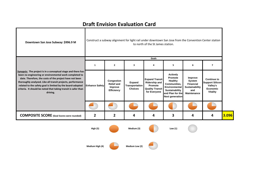a l

| Downtown San Jose Subway: \$996.9 M                                                                                                                                                                                                                                                                                                                                                          |                       | Construct a subway alignment for light rail under downtown San Jose from the Convention Center station<br>to north of the St James station. |                                            |                                                                                                    |                                                                                                                                        |                                                                                             |                                                                                                |       |  |  |
|----------------------------------------------------------------------------------------------------------------------------------------------------------------------------------------------------------------------------------------------------------------------------------------------------------------------------------------------------------------------------------------------|-----------------------|---------------------------------------------------------------------------------------------------------------------------------------------|--------------------------------------------|----------------------------------------------------------------------------------------------------|----------------------------------------------------------------------------------------------------------------------------------------|---------------------------------------------------------------------------------------------|------------------------------------------------------------------------------------------------|-------|--|--|
|                                                                                                                                                                                                                                                                                                                                                                                              |                       |                                                                                                                                             |                                            | Goals                                                                                              |                                                                                                                                        |                                                                                             |                                                                                                |       |  |  |
|                                                                                                                                                                                                                                                                                                                                                                                              | $\mathbf{1}$          | $\mathbf{2}$                                                                                                                                | 3                                          | 4                                                                                                  | 5                                                                                                                                      | 6                                                                                           | $\overline{\mathbf{z}}$                                                                        |       |  |  |
| Synopsis: The project is in a conceptual stage and there has<br>been no engineering or environmental work completed to<br>date. Therefore, the costs of the project have not been<br>thoroughly analyzed. Like all transit projects, performance<br>related to the safety goal is limited by the board-adopted<br>criteria. It should be noted that taking transit is safer than<br>driving. | <b>Enhance Safety</b> | Congestion<br><b>Relief and</b><br>Improve<br>Efficiency                                                                                    | Expand<br>Transportation<br><b>Choices</b> | <b>Expand Transit</b><br><b>Ridership and</b><br>Promote<br><b>Quality Transit</b><br>for Everyone | <b>Actively</b><br>Promote<br>Healthy<br>Communities,<br>Environmental<br>Sustainability<br>and Plan for the<br><b>Next generation</b> | Improve<br>System<br><b>Financial</b><br><b>Sustainability</b><br>and<br><b>Maintenance</b> | <b>Continue to</b><br><b>Support Silicon</b><br>Valley's<br><b>Economic</b><br><b>Vitality</b> |       |  |  |
|                                                                                                                                                                                                                                                                                                                                                                                              |                       |                                                                                                                                             |                                            |                                                                                                    |                                                                                                                                        |                                                                                             |                                                                                                |       |  |  |
| <b>COMPOSITE SCORE</b> (Goal Scores were rounded)                                                                                                                                                                                                                                                                                                                                            | $\overline{2}$        | 2                                                                                                                                           | 4                                          | 4                                                                                                  | 3                                                                                                                                      | 4                                                                                           | 4                                                                                              | 3.096 |  |  |
|                                                                                                                                                                                                                                                                                                                                                                                              | High (5)              |                                                                                                                                             | Medium (3)                                 |                                                                                                    | Low $(1)$                                                                                                                              |                                                                                             |                                                                                                |       |  |  |
|                                                                                                                                                                                                                                                                                                                                                                                              | Medium High (4)       |                                                                                                                                             | Medium Low (2)                             |                                                                                                    |                                                                                                                                        |                                                                                             |                                                                                                |       |  |  |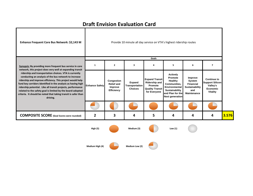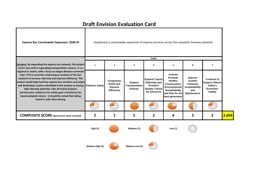| Express Bus Countywide Expansion: \$500 M                                                                                                                                                                                                                                                                                                                                                                                                                                                                                                                                                                |                       |                                                                 |                                                   |                                                                                                    | Implement a countywide expansion of express services across the complete freeway network.                                                     |                                                                                      |                                                                                                |       |
|----------------------------------------------------------------------------------------------------------------------------------------------------------------------------------------------------------------------------------------------------------------------------------------------------------------------------------------------------------------------------------------------------------------------------------------------------------------------------------------------------------------------------------------------------------------------------------------------------------|-----------------------|-----------------------------------------------------------------|---------------------------------------------------|----------------------------------------------------------------------------------------------------|-----------------------------------------------------------------------------------------------------------------------------------------------|--------------------------------------------------------------------------------------|------------------------------------------------------------------------------------------------|-------|
| Synopsis: By expanding the express bus network, this project                                                                                                                                                                                                                                                                                                                                                                                                                                                                                                                                             | $\mathbf{1}$          | $\mathbf{2}$                                                    | 3                                                 | Goals<br>4                                                                                         | 5                                                                                                                                             | 6                                                                                    | 7                                                                                              |       |
| scores very well in expanding transportation choices. It is a<br>regional in extent, with a focus on longer-distance commute<br>trips. VTA is currently conducting an analysis of the bus<br>network to increase ridership and improve efficiency. This<br>project would help fund key express bus corridors and origin<br>and destination clusters identified in the analysis as having<br>high ridership potential. Like all transit projects,<br>performance related to the safety goal is limited by the<br>board-adopted criteria. It should be noted that taking<br>transit is safer than driving. | <b>Enhance Safety</b> | Congestion<br><b>Relief and</b><br>Improve<br><b>Efficiency</b> | <b>Expand</b><br>Transportation<br><b>Choices</b> | <b>Expand Transit</b><br><b>Ridership and</b><br>Promote<br><b>Quality Transit</b><br>for Everyone | <b>Actively</b><br>Promote<br><b>Healthy</b><br>Communities,<br>Environmental<br>Sustainability<br>and Plan for the<br><b>Next generation</b> | Improve<br>System<br><b>Financial</b><br>Sustainability<br>and<br><b>Maintenance</b> | <b>Continue to</b><br><b>Support Silicon</b><br>Valley's<br><b>Economic</b><br><b>Vitality</b> |       |
|                                                                                                                                                                                                                                                                                                                                                                                                                                                                                                                                                                                                          |                       |                                                                 |                                                   |                                                                                                    |                                                                                                                                               |                                                                                      |                                                                                                |       |
| <b>COMPOSITE SCORE</b> (Goal Scores were rounded)                                                                                                                                                                                                                                                                                                                                                                                                                                                                                                                                                        | $\overline{2}$        | 2                                                               | 5                                                 | 2                                                                                                  | 4                                                                                                                                             | 3                                                                                    | $\overline{2}$                                                                                 | 2.694 |
|                                                                                                                                                                                                                                                                                                                                                                                                                                                                                                                                                                                                          | <b>High (5)</b>       |                                                                 | Medium (3)                                        |                                                                                                    | Low $(1)$                                                                                                                                     |                                                                                      |                                                                                                |       |

**Medium**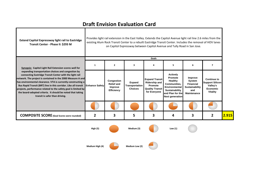$\mathbf{I}$ 

×

| <b>Extend Capitol Expressway light rail to Eastridge</b><br>Transit Center - Phase II: \$293 M                                                                                                                                                                                                                                                                                                                                                                                                   |                | Provides light rail extension in the East Valley. Extends the Capitol Avenue light rail line 2.6 miles from the<br>existing Alum Rock Transit Center to a rebuilt Eastridge Transit Center. Includes the removal of HOV lanes<br>on Capitol Expressway between Capitol Avenue and Tully Road in San Jose. |                                                          |                                                                                                    |                                                                                                                                                             |                                                                                             |                                                                                                |       |  |
|--------------------------------------------------------------------------------------------------------------------------------------------------------------------------------------------------------------------------------------------------------------------------------------------------------------------------------------------------------------------------------------------------------------------------------------------------------------------------------------------------|----------------|-----------------------------------------------------------------------------------------------------------------------------------------------------------------------------------------------------------------------------------------------------------------------------------------------------------|----------------------------------------------------------|----------------------------------------------------------------------------------------------------|-------------------------------------------------------------------------------------------------------------------------------------------------------------|---------------------------------------------------------------------------------------------|------------------------------------------------------------------------------------------------|-------|--|
|                                                                                                                                                                                                                                                                                                                                                                                                                                                                                                  |                |                                                                                                                                                                                                                                                                                                           |                                                          | Goals                                                                                              |                                                                                                                                                             |                                                                                             |                                                                                                |       |  |
| Synopsis: Capitol Light Rail Extension scores well for                                                                                                                                                                                                                                                                                                                                                                                                                                           | $\mathbf{1}$   | 2                                                                                                                                                                                                                                                                                                         | 3                                                        | 4                                                                                                  | 5                                                                                                                                                           | 6                                                                                           | 7                                                                                              |       |  |
| expanding transportation choices and congestion by<br>connecting Eastridge Transit Center with the light rail<br>network. The project is contained in the 2000 Measure A and<br>has environmental clearance. VTA is currently constructing a<br>Bus Rapid Transit (BRT) line in this corridor. Like all transit Enhance Safety<br>projects, performance related to the safety goal is limited by<br>the board-adopted criteria. It should be noted that taking<br>transit is safer than driving. |                | Congestion<br><b>Relief and</b><br>Improve<br>Efficiency                                                                                                                                                                                                                                                  | <b>Expand</b><br><b>Transportation</b><br><b>Choices</b> | <b>Expand Transit</b><br><b>Ridership and</b><br>Promote<br><b>Quality Transit</b><br>for Everyone | <b>Actively</b><br>Promote<br>Healthy<br><b>Communities.</b><br><b>Environmental</b><br><b>Sustainability</b><br>and Plan for the<br><b>Next generation</b> | Improve<br>System<br><b>Financial</b><br><b>Sustainability</b><br>and<br><b>Maintenance</b> | <b>Continue to</b><br><b>Support Silicon</b><br>Valley's<br><b>Economic</b><br><b>Vitality</b> |       |  |
|                                                                                                                                                                                                                                                                                                                                                                                                                                                                                                  |                |                                                                                                                                                                                                                                                                                                           |                                                          |                                                                                                    |                                                                                                                                                             |                                                                                             |                                                                                                |       |  |
| <b>COMPOSITE SCORE</b> (Goal Scores were rounded)                                                                                                                                                                                                                                                                                                                                                                                                                                                | $\overline{2}$ | 3                                                                                                                                                                                                                                                                                                         | 5                                                        | 3                                                                                                  | 4                                                                                                                                                           | 3                                                                                           | 2                                                                                              | 2.915 |  |
|                                                                                                                                                                                                                                                                                                                                                                                                                                                                                                  | High (5)       |                                                                                                                                                                                                                                                                                                           | Medium (3)                                               |                                                                                                    | Low $(1)$                                                                                                                                                   |                                                                                             |                                                                                                |       |  |

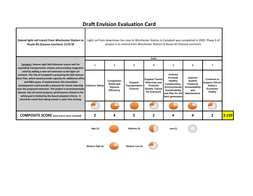×

| <b>Extend light-rail transit from Winchester Station to</b><br>Route 85 (Vasona Junction): \$176 M                                                                                                                                                                                                                                                                                                                                                                                                                                                               | Light rail from downtown San Jose to Winchester Station in Campbell was completed in 2005. Phase II of<br>project is to extend from Winchester Station to Route 85 (Vasona Junction). |                                                          |                                            |                                                                                                    |                                                                                                                                               |                                                                                             |                                                                                                |       |
|------------------------------------------------------------------------------------------------------------------------------------------------------------------------------------------------------------------------------------------------------------------------------------------------------------------------------------------------------------------------------------------------------------------------------------------------------------------------------------------------------------------------------------------------------------------|---------------------------------------------------------------------------------------------------------------------------------------------------------------------------------------|----------------------------------------------------------|--------------------------------------------|----------------------------------------------------------------------------------------------------|-----------------------------------------------------------------------------------------------------------------------------------------------|---------------------------------------------------------------------------------------------|------------------------------------------------------------------------------------------------|-------|
| Synopsis: Vasona Light Rail Extension scores well for<br>expanding transportation choices and providing congestion                                                                                                                                                                                                                                                                                                                                                                                                                                               | -1                                                                                                                                                                                    | 2                                                        | 3                                          | Goals<br>Δ                                                                                         | 5                                                                                                                                             | 6                                                                                           | 7                                                                                              |       |
| relief by adding a new rail extension to the light rail<br>network. The City of Campbell is preparing the Dell Avenue<br>Area Plan, which would provide capacity for additional office<br>and R&D space. If implemented, this intensified<br>development could provide a demand for transit ridership<br>near the proposed extension. The project is environmentally<br>cleared. Like all transit projects, performance related to the<br>safety goal is limited by the board-adopted criteria. It<br>should be noted that taking transit is safer than driving. | <b>Enhance Safety</b>                                                                                                                                                                 | Congestion<br><b>Relief and</b><br>Improve<br>Efficiency | Expand<br>Transportation<br><b>Choices</b> | <b>Expand Transit</b><br><b>Ridership and</b><br>Promote<br><b>Quality Transit</b><br>for Everyone | <b>Actively</b><br><b>Promote</b><br>Healthy<br>Communities,<br>Environmental<br>Sustainability<br>and Plan for the<br><b>Next generation</b> | Improve<br><b>System</b><br><b>Financial</b><br>Sustainability<br>and<br><b>Maintenance</b> | <b>Continue to</b><br><b>Support Silicon</b><br>Valley's<br><b>Economic</b><br><b>Vitality</b> |       |
|                                                                                                                                                                                                                                                                                                                                                                                                                                                                                                                                                                  |                                                                                                                                                                                       |                                                          |                                            |                                                                                                    |                                                                                                                                               |                                                                                             |                                                                                                |       |
| <b>COMPOSITE SCORE</b> (Goal Scores were rounded)                                                                                                                                                                                                                                                                                                                                                                                                                                                                                                                | 2                                                                                                                                                                                     | 4                                                        | 5                                          | 2                                                                                                  | 4                                                                                                                                             | 4                                                                                           | 2                                                                                              | 3.150 |
|                                                                                                                                                                                                                                                                                                                                                                                                                                                                                                                                                                  |                                                                                                                                                                                       |                                                          |                                            |                                                                                                    |                                                                                                                                               |                                                                                             |                                                                                                |       |

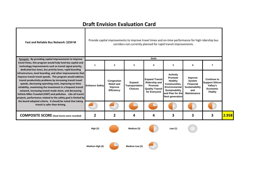7

| Fast and Reliable Bus Network: \$250 M                                                                                                                                                                                                                                                                                                                                                                                                                                                                                                                                                                                                                                                                                                                                                           |                       |                                                                 |                                                   |                                                                                                    | Provide capital improvements to improve travel times and on-time performance for high ridership bus<br>corridors not currently planned for rapid transit improvements. |                                                                                             |                                                                                                |       |
|--------------------------------------------------------------------------------------------------------------------------------------------------------------------------------------------------------------------------------------------------------------------------------------------------------------------------------------------------------------------------------------------------------------------------------------------------------------------------------------------------------------------------------------------------------------------------------------------------------------------------------------------------------------------------------------------------------------------------------------------------------------------------------------------------|-----------------------|-----------------------------------------------------------------|---------------------------------------------------|----------------------------------------------------------------------------------------------------|------------------------------------------------------------------------------------------------------------------------------------------------------------------------|---------------------------------------------------------------------------------------------|------------------------------------------------------------------------------------------------|-------|
| Synopsis: By providing capital improvements to improve                                                                                                                                                                                                                                                                                                                                                                                                                                                                                                                                                                                                                                                                                                                                           |                       |                                                                 |                                                   | Goals                                                                                              |                                                                                                                                                                        |                                                                                             |                                                                                                |       |
| travel times, this program would help fund key capital and<br>technology improvements such as transit signal priority,<br>dedicated bus lanes, bus priority lanes, rapid boarding<br>infrastructure, level boarding, and other improvements that<br>improve transit travel speeds. This program would address<br>transit productivity problems by increasing transit travel<br>speeds, decreasing operating costs, improving on-time<br>reliability, maximizing the investment in a frequent transit<br>network, increasing transit mode share, and decreasing<br>Vehicle Miles Traveled (VMT) and pollution. Like all transit<br>projects, performance related to the safety goal is limited by<br>the board-adopted criteria. It should be noted that taking<br>transit is safer than driving. | 1                     | $\overline{2}$                                                  | 3                                                 | 4                                                                                                  | 5                                                                                                                                                                      | 6                                                                                           | 7                                                                                              |       |
|                                                                                                                                                                                                                                                                                                                                                                                                                                                                                                                                                                                                                                                                                                                                                                                                  | <b>Enhance Safety</b> | Congestion<br><b>Relief and</b><br>Improve<br><b>Efficiency</b> | Expand<br><b>Transportation</b><br><b>Choices</b> | <b>Expand Transit</b><br><b>Ridership and</b><br>Promote<br><b>Quality Transit</b><br>for Everyone | <b>Actively</b><br><b>Promote</b><br>Healthy<br>Communities,<br><b>Environmental</b><br>Sustainability<br>and Plan for the<br><b>Next generation</b>                   | Improve<br><b>System</b><br><b>Financial</b><br>Sustainability<br>and<br><b>Maintenance</b> | <b>Continue to</b><br><b>Support Silicon</b><br>Valley's<br><b>Economic</b><br><b>Vitality</b> |       |
|                                                                                                                                                                                                                                                                                                                                                                                                                                                                                                                                                                                                                                                                                                                                                                                                  |                       |                                                                 |                                                   |                                                                                                    |                                                                                                                                                                        |                                                                                             |                                                                                                |       |
| <b>COMPOSITE SCORE</b> (Goal Scores were rounded)                                                                                                                                                                                                                                                                                                                                                                                                                                                                                                                                                                                                                                                                                                                                                | 2                     |                                                                 | 4                                                 | 4                                                                                                  | 3                                                                                                                                                                      | 3                                                                                           | 3                                                                                              | 2.958 |
|                                                                                                                                                                                                                                                                                                                                                                                                                                                                                                                                                                                                                                                                                                                                                                                                  |                       |                                                                 |                                                   |                                                                                                    |                                                                                                                                                                        |                                                                                             |                                                                                                |       |

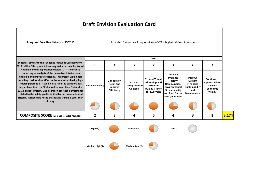

**High (4) Medium Low (2)**

**Medium**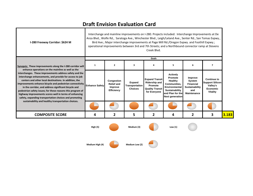| I-280 Freeway Corridor: \$624 M                                                                                                                                                                                                                                                                                                                                                                                                                                                                                                          | Interchange and mainline improvements on I-280. Projects included: Interchange Improvements at De<br>Anza Blvd., Wolfe Rd., Saratoga Ave., Winchester Blvd., Leigh/Leland Ave., Senter Rd., San Tomas Expwy.,<br>Bird Ave.; Major interchange improvements at Page Mill Rd./Oregon Expwy. and Foothill Expwy.;<br>operational improvements between 3rd and 7th Streets; and a Northbound connector ramp at Stevens<br>Creek Blvd. |                                                                 |                                            |                                                                                                    |                                                                                                                                                      |                                                                                      |                                                                                                |       |
|------------------------------------------------------------------------------------------------------------------------------------------------------------------------------------------------------------------------------------------------------------------------------------------------------------------------------------------------------------------------------------------------------------------------------------------------------------------------------------------------------------------------------------------|-----------------------------------------------------------------------------------------------------------------------------------------------------------------------------------------------------------------------------------------------------------------------------------------------------------------------------------------------------------------------------------------------------------------------------------|-----------------------------------------------------------------|--------------------------------------------|----------------------------------------------------------------------------------------------------|------------------------------------------------------------------------------------------------------------------------------------------------------|--------------------------------------------------------------------------------------|------------------------------------------------------------------------------------------------|-------|
|                                                                                                                                                                                                                                                                                                                                                                                                                                                                                                                                          |                                                                                                                                                                                                                                                                                                                                                                                                                                   |                                                                 |                                            | Goals                                                                                              |                                                                                                                                                      |                                                                                      |                                                                                                |       |
| Synopsis: These improvements along the I-280 corridor will                                                                                                                                                                                                                                                                                                                                                                                                                                                                               | 1                                                                                                                                                                                                                                                                                                                                                                                                                                 | $\overline{2}$                                                  | 3                                          | 4                                                                                                  | 5                                                                                                                                                    | 6                                                                                    | $\overline{7}$                                                                                 |       |
| enhance operations on the mainline as well as the<br>interchanges. These improvements address safety and the<br>interchange enhancements, and provide for access to job<br>centers and other local destinations. In addition, the<br>improvements enhance bicycle and pedestrian connectivity<br>in the corridor, and address significant bicycle and<br>pedestrian safety issues; for these reasons this program of<br>highway improvements scores well in terms of enhancing<br>safety, expanding transportation choices and promoting | <b>Enhance Safety</b>                                                                                                                                                                                                                                                                                                                                                                                                             | Congestion<br><b>Relief and</b><br>Improve<br><b>Efficiency</b> | Expand<br>Transportation<br><b>Choices</b> | <b>Expand Transit</b><br><b>Ridership and</b><br>Promote<br><b>Quality Transit</b><br>for Everyone | <b>Actively</b><br>Promote<br><b>Healthy</b><br>Communities,<br>Environmental<br><b>Sustainability</b><br>and Plan for the<br><b>Next generation</b> | Improve<br>System<br><b>Financial</b><br>Sustainability<br>and<br><b>Maintenance</b> | <b>Continue to</b><br><b>Support Silicon</b><br>Valley's<br><b>Economic</b><br><b>Vitality</b> |       |
| sustainability and healthy transportation choices.                                                                                                                                                                                                                                                                                                                                                                                                                                                                                       |                                                                                                                                                                                                                                                                                                                                                                                                                                   |                                                                 |                                            |                                                                                                    |                                                                                                                                                      |                                                                                      |                                                                                                |       |
| <b>COMPOSITE SCORE</b>                                                                                                                                                                                                                                                                                                                                                                                                                                                                                                                   | 4                                                                                                                                                                                                                                                                                                                                                                                                                                 | 2                                                               | 5                                          | 2                                                                                                  | 4                                                                                                                                                    | $\mathbf{2}$                                                                         | 3                                                                                              | 3.183 |
|                                                                                                                                                                                                                                                                                                                                                                                                                                                                                                                                          | <b>High (5)</b>                                                                                                                                                                                                                                                                                                                                                                                                                   |                                                                 | Medium (3)                                 |                                                                                                    | Low $(1)$                                                                                                                                            |                                                                                      |                                                                                                |       |

**Medium**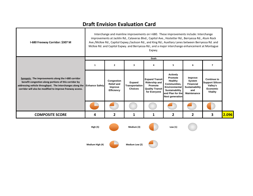| I-680 Freeway Corridor: \$307 M                                                                                                                                                                                                                       |                 | Interchange and mainline improvements on I-680. These improvements include: Interchange<br>improvements at Jacklin Rd., Calaveras Blvd., Capitol Ave., Hostetter Rd., Berryessa Rd., Alum Rock<br>Ave./McKee Rd., Capitol Expwy./Jackson Rd., and King Rd.; Auxiliary Lanes between Berryessa Rd. and<br>McKee Rd. and Capitol Expwy. and Berryessa Rd.; and a major interchange enhancement at Montague<br>Expwy.<br>Goals |                                            |                                                                                                    |                                                                                                                                        |                                                                                      |                                                                                                |       |  |  |
|-------------------------------------------------------------------------------------------------------------------------------------------------------------------------------------------------------------------------------------------------------|-----------------|-----------------------------------------------------------------------------------------------------------------------------------------------------------------------------------------------------------------------------------------------------------------------------------------------------------------------------------------------------------------------------------------------------------------------------|--------------------------------------------|----------------------------------------------------------------------------------------------------|----------------------------------------------------------------------------------------------------------------------------------------|--------------------------------------------------------------------------------------|------------------------------------------------------------------------------------------------|-------|--|--|
|                                                                                                                                                                                                                                                       |                 |                                                                                                                                                                                                                                                                                                                                                                                                                             |                                            |                                                                                                    |                                                                                                                                        |                                                                                      |                                                                                                |       |  |  |
|                                                                                                                                                                                                                                                       | 1               | $\overline{2}$                                                                                                                                                                                                                                                                                                                                                                                                              | 3                                          | 4                                                                                                  | 5                                                                                                                                      | 6                                                                                    | $\overline{\mathbf{z}}$                                                                        |       |  |  |
| Synopsis: The improvements along the I-680 corridor<br>benefit congestion along portions of this corridor by<br>addressing vehicle throughput. The interchanges along the Enhance Safety<br>corridor will also be modified to improve freeway access. |                 | Congestion<br><b>Relief and</b><br>Improve<br>Efficiency                                                                                                                                                                                                                                                                                                                                                                    | Expand<br>Transportation<br><b>Choices</b> | <b>Expand Transit</b><br><b>Ridership and</b><br>Promote<br><b>Quality Transit</b><br>for Everyone | <b>Actively</b><br>Promote<br>Healthy<br>Communities,<br>Environmental<br>Sustainability<br>and Plan for the<br><b>Next generation</b> | Improve<br>System<br><b>Financial</b><br>Sustainability<br>and<br><b>Maintenance</b> | <b>Continue to</b><br><b>Support Silicon</b><br>Valley's<br><b>Economic</b><br><b>Vitality</b> |       |  |  |
|                                                                                                                                                                                                                                                       |                 |                                                                                                                                                                                                                                                                                                                                                                                                                             |                                            |                                                                                                    |                                                                                                                                        |                                                                                      |                                                                                                |       |  |  |
| <b>COMPOSITE SCORE</b>                                                                                                                                                                                                                                | 4               | 2                                                                                                                                                                                                                                                                                                                                                                                                                           | 1                                          | 1                                                                                                  | $\mathbf{2}$                                                                                                                           | $\overline{2}$                                                                       | 3                                                                                              | 2.096 |  |  |
|                                                                                                                                                                                                                                                       | <b>High (5)</b> |                                                                                                                                                                                                                                                                                                                                                                                                                             | Medium (3)                                 |                                                                                                    | Low $(1)$                                                                                                                              |                                                                                      |                                                                                                |       |  |  |
|                                                                                                                                                                                                                                                       | Medium High (4) |                                                                                                                                                                                                                                                                                                                                                                                                                             | Medium Low (2)                             |                                                                                                    |                                                                                                                                        |                                                                                      |                                                                                                |       |  |  |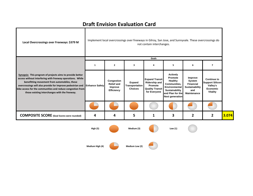| Local Overcrossings over Freeways: \$379 M                                                                                                                                                                                                                                                                                                          |                       |                                                          |                                            | not contain interchanges.                                                                          | Implement local overcrossings over freeways in Gilroy, San Jose, and Sunnyvale. These overcrossings do                                 |                                                                                      |                                                                                                |       |
|-----------------------------------------------------------------------------------------------------------------------------------------------------------------------------------------------------------------------------------------------------------------------------------------------------------------------------------------------------|-----------------------|----------------------------------------------------------|--------------------------------------------|----------------------------------------------------------------------------------------------------|----------------------------------------------------------------------------------------------------------------------------------------|--------------------------------------------------------------------------------------|------------------------------------------------------------------------------------------------|-------|
|                                                                                                                                                                                                                                                                                                                                                     |                       |                                                          |                                            | Goals                                                                                              |                                                                                                                                        |                                                                                      |                                                                                                |       |
|                                                                                                                                                                                                                                                                                                                                                     | $\mathbf{1}$          | $\mathbf{z}$                                             | 3                                          | 4                                                                                                  | 5                                                                                                                                      | 6                                                                                    | $\overline{7}$                                                                                 |       |
| Synopsis: This program of projects aims to provide better<br>access without interfering with freeway operations. While<br>benefitting movement from automobiles, these<br>overcrossings will also provide for improve pedestrian and<br>bike access for the communities and reduce congestion from<br>those existing interchanges with the freeway. | <b>Enhance Safety</b> | Congestion<br><b>Relief and</b><br>Improve<br>Efficiency | Expand<br>Transportation<br><b>Choices</b> | <b>Expand Transit</b><br><b>Ridership and</b><br>Promote<br><b>Quality Transit</b><br>for Everyone | <b>Actively</b><br>Promote<br>Healthy<br>Communities,<br>Environmental<br>Sustainability<br>and Plan for the<br><b>Next generation</b> | Improve<br>System<br><b>Financial</b><br>Sustainability<br>and<br><b>Maintenance</b> | <b>Continue to</b><br><b>Support Silicon</b><br>Valley's<br><b>Economic</b><br><b>Vitality</b> |       |
|                                                                                                                                                                                                                                                                                                                                                     |                       |                                                          |                                            |                                                                                                    |                                                                                                                                        |                                                                                      |                                                                                                |       |
| <b>COMPOSITE SCORE</b> (Goal Scores were rounded)                                                                                                                                                                                                                                                                                                   | 4                     | 4                                                        | 5                                          | 1                                                                                                  | 3                                                                                                                                      | 2                                                                                    | $\overline{2}$                                                                                 | 3.074 |
|                                                                                                                                                                                                                                                                                                                                                     | High (5)              |                                                          | Medium (3)                                 |                                                                                                    | Low $(1)$                                                                                                                              |                                                                                      |                                                                                                |       |
|                                                                                                                                                                                                                                                                                                                                                     | Medium High (4)       |                                                          | Medium Low (2)                             |                                                                                                    |                                                                                                                                        |                                                                                      |                                                                                                |       |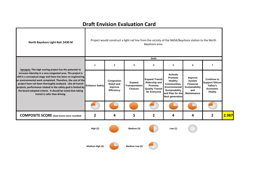7

| North Bayshore Light Rail: \$430 M                                                                                                                                                                                                                                                                                                                                                                                           |                       |                                                          |                                                   | Bayshore area.                                                                                     | Project would construct a light rail line from the vicinity of the NASA/Bayshore station to the North                                  |                                                                                                    |                                                                                                |       |
|------------------------------------------------------------------------------------------------------------------------------------------------------------------------------------------------------------------------------------------------------------------------------------------------------------------------------------------------------------------------------------------------------------------------------|-----------------------|----------------------------------------------------------|---------------------------------------------------|----------------------------------------------------------------------------------------------------|----------------------------------------------------------------------------------------------------------------------------------------|----------------------------------------------------------------------------------------------------|------------------------------------------------------------------------------------------------|-------|
|                                                                                                                                                                                                                                                                                                                                                                                                                              |                       |                                                          |                                                   | Goals                                                                                              |                                                                                                                                        |                                                                                                    |                                                                                                |       |
| Synopsis: This high scoring project has the potential to                                                                                                                                                                                                                                                                                                                                                                     | 1                     | 2                                                        | 3                                                 | 4                                                                                                  | 5                                                                                                                                      | 6                                                                                                  | $\overline{7}$                                                                                 |       |
| increase ridership in a very congested area. The project is<br>still in a conceptual stage and there has been no engineering<br>or environmental work completed. Therefore, the cost of the<br>project have not been thoroughly analyzed. Like all transit<br>projects, performance related to the safety goal is limited by<br>the board-adopted criteria. It should be noted that taking<br>transit is safer than driving. | <b>Enhance Safety</b> | Congestion<br><b>Relief and</b><br>Improve<br>Efficiency | Expand<br><b>Transportation</b><br><b>Choices</b> | <b>Expand Transit</b><br><b>Ridership and</b><br>Promote<br><b>Quality Transit</b><br>for Everyone | <b>Actively</b><br>Promote<br>Healthy<br>Communities,<br>Environmental<br>Sustainability<br>and Plan for the<br><b>Next generation</b> | Improve<br><b>System</b><br><b>Financial</b><br><b>Sustainability</b><br>and<br><b>Maintenance</b> | <b>Continue to</b><br><b>Support Silicon</b><br>Valley's<br><b>Economic</b><br><b>Vitality</b> |       |
|                                                                                                                                                                                                                                                                                                                                                                                                                              |                       |                                                          |                                                   |                                                                                                    |                                                                                                                                        |                                                                                                    |                                                                                                |       |
| <b>COMPOSITE SCORE</b> (Goal Scores were rounded)                                                                                                                                                                                                                                                                                                                                                                            | 2                     | 4                                                        | 5                                                 | 2                                                                                                  | 4                                                                                                                                      | 4                                                                                                  | $\overline{2}$                                                                                 | 2.987 |
|                                                                                                                                                                                                                                                                                                                                                                                                                              | High (5)              |                                                          | Medium (3)                                        |                                                                                                    | Low $(1)$                                                                                                                              |                                                                                                    |                                                                                                |       |
|                                                                                                                                                                                                                                                                                                                                                                                                                              |                       |                                                          |                                                   |                                                                                                    |                                                                                                                                        |                                                                                                    |                                                                                                |       |

**High (4) Medium Low (2)**

- 1

**Medium**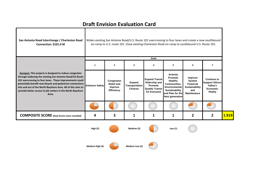$\mathbf{I}$ 

×

| San Antonio Road Interchange / Charleston Road<br>Connection: \$101.0 M                                                                                                                                                                                                                                                                                                              |                       |                                                          |                                            |                                                                                                    | Widen existing San Antonio Road/U.S. Route 101 overcrossing to four lanes and create a new southbound<br>on-ramp to U.S. route 101. Close existing Charleston Road on-ramp to southbound U.S. Route 101. |                                                                               |                                                                                         |       |
|--------------------------------------------------------------------------------------------------------------------------------------------------------------------------------------------------------------------------------------------------------------------------------------------------------------------------------------------------------------------------------------|-----------------------|----------------------------------------------------------|--------------------------------------------|----------------------------------------------------------------------------------------------------|----------------------------------------------------------------------------------------------------------------------------------------------------------------------------------------------------------|-------------------------------------------------------------------------------|-----------------------------------------------------------------------------------------|-------|
|                                                                                                                                                                                                                                                                                                                                                                                      |                       |                                                          |                                            | Goals                                                                                              |                                                                                                                                                                                                          |                                                                               |                                                                                         |       |
|                                                                                                                                                                                                                                                                                                                                                                                      | 1                     | 2                                                        | 3                                          | 4                                                                                                  | 5                                                                                                                                                                                                        | 6                                                                             | 7                                                                                       |       |
| Synopsis: This projects is designed to reduce congestion<br>through widening the existing San Antonio Road/US Route<br>101 overcrossing to four lanes. These improvements could<br>potentially benefit new bicycle and pedestrian connections<br>into and out of the North Bayshore Area. All of this aims to<br>provide better access to job centers in the North Bayshore<br>Area. | <b>Enhance Safety</b> | Congestion<br><b>Relief and</b><br>Improve<br>Efficiency | Expand<br>Transportation<br><b>Choices</b> | <b>Expand Transit</b><br><b>Ridership and</b><br>Promote<br><b>Quality Transit</b><br>for Everyone | <b>Actively</b><br>Promote<br><b>Healthy</b><br><b>Communities.</b><br>Environmental<br>Sustainability<br>and Plan for the<br><b>Next generation</b>                                                     | Improve<br>System<br>Financial<br><b>Sustainability</b><br>and<br>Maintenance | <b>Continue to</b><br><b>Support Silicon</b><br>Valley's<br>Economic<br><b>Vitality</b> |       |
|                                                                                                                                                                                                                                                                                                                                                                                      |                       |                                                          |                                            |                                                                                                    |                                                                                                                                                                                                          |                                                                               |                                                                                         |       |
| <b>COMPOSITE SCORE</b> (Goal Scores were rounded)                                                                                                                                                                                                                                                                                                                                    | 4                     | 3                                                        | 1                                          | 1                                                                                                  | 1                                                                                                                                                                                                        | $\mathbf{2}$                                                                  | $\overline{2}$                                                                          | 1.919 |
|                                                                                                                                                                                                                                                                                                                                                                                      | High(5)               |                                                          | Medium (3)                                 |                                                                                                    | Low $(1)$                                                                                                                                                                                                |                                                                               |                                                                                         |       |

**Medium**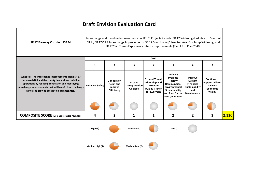Т

| SR 17 Freeway Corridor: \$54 M                                                                                                                                                                                                                                              |                       |                                                          | Interchange and mainline improvements on SR 17. Projects include: SR 17 Widening (Lark Ave. to South of<br>SR 9); SR 17/SR 9 Interchange Improvements; SR 17 Southbound/Hamilton Ave. Off-Ramp Widening; and<br>SR 17/San Tomas Expressway Interim Improvements (Tier 1 Exp Plan 2040). |                                                                                                    |                                                                                                                                        |                                                                                      |                                                                                                |       |
|-----------------------------------------------------------------------------------------------------------------------------------------------------------------------------------------------------------------------------------------------------------------------------|-----------------------|----------------------------------------------------------|-----------------------------------------------------------------------------------------------------------------------------------------------------------------------------------------------------------------------------------------------------------------------------------------|----------------------------------------------------------------------------------------------------|----------------------------------------------------------------------------------------------------------------------------------------|--------------------------------------------------------------------------------------|------------------------------------------------------------------------------------------------|-------|
|                                                                                                                                                                                                                                                                             |                       |                                                          |                                                                                                                                                                                                                                                                                         | Goals                                                                                              |                                                                                                                                        |                                                                                      |                                                                                                |       |
|                                                                                                                                                                                                                                                                             | $\mathbf{1}$          | $\overline{2}$                                           | 3                                                                                                                                                                                                                                                                                       | 4                                                                                                  | 5                                                                                                                                      | 6                                                                                    | $\overline{7}$                                                                                 |       |
| Synopsis: The interchange improvements along SR 17<br>between I-280 and the county line address mainline<br>operations by reducing congestion and identifying<br>interchange improvements that will benefit local roadways<br>as well as provide access to local amenities. | <b>Enhance Safety</b> | Congestion<br><b>Relief and</b><br>Improve<br>Efficiency | Expand<br>Transportation<br><b>Choices</b>                                                                                                                                                                                                                                              | <b>Expand Transit</b><br><b>Ridership and</b><br>Promote<br><b>Quality Transit</b><br>for Everyone | <b>Actively</b><br>Promote<br>Healthy<br>Communities,<br>Environmental<br>Sustainability<br>and Plan for the<br><b>Next generation</b> | Improve<br>System<br><b>Financial</b><br>Sustainability<br>and<br><b>Maintenance</b> | <b>Continue to</b><br><b>Support Silicon</b><br>Valley's<br><b>Economic</b><br><b>Vitality</b> |       |
|                                                                                                                                                                                                                                                                             |                       |                                                          |                                                                                                                                                                                                                                                                                         |                                                                                                    |                                                                                                                                        |                                                                                      |                                                                                                |       |
| <b>COMPOSITE SCORE</b> (Goal Scores were rounded)                                                                                                                                                                                                                           | 4                     | 2                                                        | 1                                                                                                                                                                                                                                                                                       | 1                                                                                                  | $\overline{2}$                                                                                                                         | 2                                                                                    | 3                                                                                              | 2.120 |
|                                                                                                                                                                                                                                                                             | High (5)              |                                                          | Medium (3)                                                                                                                                                                                                                                                                              |                                                                                                    | Low $(1)$                                                                                                                              |                                                                                      |                                                                                                |       |
|                                                                                                                                                                                                                                                                             | Medium High (4)       |                                                          | Medium Low (2)                                                                                                                                                                                                                                                                          |                                                                                                    |                                                                                                                                        |                                                                                      |                                                                                                |       |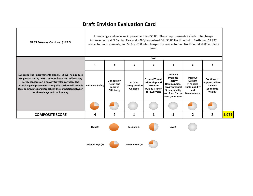٦

Т

**Transfer** 

| SR 85 Freeway Corridor: \$147 M                                                                                                                                                                                                                                                                                                                 |                 |                                                                 |                                                   | lanes.                                                                                             | Interchange and mainline improvements on SR 85. These improvements include: Interchange<br>improvements at El Camino Real and I-280/Homestead Rd.; SR 85 Northbound to Eastbound SR 237<br>connector improvements; and SR 85/I-280 Interchange HOV connector and Northbound SR 85 auxiliary |                                                                               |                                                                                                |       |
|-------------------------------------------------------------------------------------------------------------------------------------------------------------------------------------------------------------------------------------------------------------------------------------------------------------------------------------------------|-----------------|-----------------------------------------------------------------|---------------------------------------------------|----------------------------------------------------------------------------------------------------|---------------------------------------------------------------------------------------------------------------------------------------------------------------------------------------------------------------------------------------------------------------------------------------------|-------------------------------------------------------------------------------|------------------------------------------------------------------------------------------------|-------|
|                                                                                                                                                                                                                                                                                                                                                 |                 |                                                                 |                                                   | Goals                                                                                              |                                                                                                                                                                                                                                                                                             |                                                                               |                                                                                                |       |
|                                                                                                                                                                                                                                                                                                                                                 | 1               | $\mathbf{2}$                                                    | 3                                                 | 4                                                                                                  | 5                                                                                                                                                                                                                                                                                           | 6                                                                             | $\overline{\phantom{a}}$                                                                       |       |
| Synopsis: The improvements along SR 85 will help reduce<br>congestion during peak commute hours and address any<br>safety concerns on a heavily traveled corridor. The<br>interchange improvements along this corridor will benefit Enhance Safety<br>local communites and strenghten the connection between<br>local roadways and the freeway. |                 | Congestion<br><b>Relief and</b><br>Improve<br><b>Efficiency</b> | Expand<br><b>Transportation</b><br><b>Choices</b> | <b>Expand Transit</b><br><b>Ridership and</b><br>Promote<br><b>Quality Transit</b><br>for Everyone | <b>Actively</b><br>Promote<br><b>Healthy</b><br>Communities,<br>Environmental<br>Sustainability<br>and Plan for the<br><b>Next generation</b>                                                                                                                                               | Improve<br>System<br><b>Financial</b><br>Sustainability<br>and<br>Maintenance | <b>Continue to</b><br><b>Support Silicon</b><br>Valley's<br><b>Economic</b><br><b>Vitality</b> |       |
|                                                                                                                                                                                                                                                                                                                                                 |                 |                                                                 |                                                   |                                                                                                    |                                                                                                                                                                                                                                                                                             |                                                                               |                                                                                                |       |
| <b>COMPOSITE SCORE</b>                                                                                                                                                                                                                                                                                                                          | 4               | 2                                                               | 1                                                 | 1                                                                                                  | 1                                                                                                                                                                                                                                                                                           | $\overline{2}$                                                                | $\overline{2}$                                                                                 | 1.977 |
|                                                                                                                                                                                                                                                                                                                                                 | <b>High (5)</b> |                                                                 | Medium (3)                                        |                                                                                                    | Low $(1)$                                                                                                                                                                                                                                                                                   |                                                                               |                                                                                                |       |

**Medium**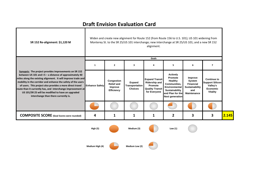7

| SR 152 Re-alignment: \$1,120 M                                                                                                                                                                                                                                                                                                                                                                                                                                             |                       |                                                          |                                            | alignment.                                                                                         | Widen and create new alignment for Route 152 (from Route 156 to U.S. 101); US 101 widening from<br>Monterey St. to the SR 25/US 101 interchange; new interchange at SR 25/US 101; and a new SR 152 |                                                                               |                                                                                                |       |
|----------------------------------------------------------------------------------------------------------------------------------------------------------------------------------------------------------------------------------------------------------------------------------------------------------------------------------------------------------------------------------------------------------------------------------------------------------------------------|-----------------------|----------------------------------------------------------|--------------------------------------------|----------------------------------------------------------------------------------------------------|----------------------------------------------------------------------------------------------------------------------------------------------------------------------------------------------------|-------------------------------------------------------------------------------|------------------------------------------------------------------------------------------------|-------|
|                                                                                                                                                                                                                                                                                                                                                                                                                                                                            |                       |                                                          |                                            | Goals                                                                                              |                                                                                                                                                                                                    |                                                                               |                                                                                                |       |
|                                                                                                                                                                                                                                                                                                                                                                                                                                                                            | 1                     | $\mathbf{2}$                                             | 3                                          | 4                                                                                                  | 5                                                                                                                                                                                                  | 6                                                                             | 7                                                                                              |       |
| Synopsis: The project provides improvements on SR 152<br>between US 101 and I-5 - a distance of approximately 40<br>miles along the existing alignment. It will improve trade and<br>mobility in the corridor and enhance the safety of the users<br>of users. This project also provides a more direct travel<br>route than it currently has, and interchange improvement at<br>US 101/SR 25 will be modified to have an upgraded<br>interchange than there currently is. | <b>Enhance Safety</b> | Congestion<br><b>Relief and</b><br>Improve<br>Efficiency | Expand<br>Transportation<br><b>Choices</b> | <b>Expand Transit</b><br><b>Ridership and</b><br>Promote<br><b>Quality Transit</b><br>for Everyone | <b>Actively</b><br>Promote<br>Healthy<br>Communities,<br><b>Environmental</b><br>Sustainability<br>and Plan for the<br><b>Next generation</b>                                                      | Improve<br>System<br><b>Financial</b><br>Sustainability<br>and<br>Maintenance | <b>Continue to</b><br><b>Support Silicon</b><br>Valley's<br><b>Economic</b><br><b>Vitality</b> |       |
|                                                                                                                                                                                                                                                                                                                                                                                                                                                                            |                       |                                                          |                                            |                                                                                                    |                                                                                                                                                                                                    |                                                                               |                                                                                                |       |
| <b>COMPOSITE SCORE</b> (Goal Scores were rounded)                                                                                                                                                                                                                                                                                                                                                                                                                          | 4                     | 1                                                        | 1                                          | 1                                                                                                  | 2                                                                                                                                                                                                  | 3                                                                             | 3                                                                                              | 2.145 |
|                                                                                                                                                                                                                                                                                                                                                                                                                                                                            | High (5)              |                                                          | Medium (3)                                 |                                                                                                    | Low $(1)$                                                                                                                                                                                          |                                                                               |                                                                                                |       |
|                                                                                                                                                                                                                                                                                                                                                                                                                                                                            | Medium High (4)       |                                                          | Medium Low (2)                             |                                                                                                    |                                                                                                                                                                                                    |                                                                               |                                                                                                |       |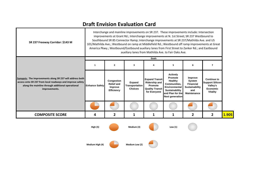| SR 237 Freeway Corridor: \$143 M                                                                                                                                                             |                       | Interchange and mainline improvements on SR 237. These improvements include: Intersection<br>improvements at Grant Rd.; Interchange improvements at N. 1st Street; SR 237 Westbound to<br>Southbound SR 85 Connector Ramp; Interchange improvements at SR 237/Mathilda Ave. and US<br>101/Mathilda Ave.; Westbound on ramp at Middlefield Rd.; Westbound off ramp improvements at Great<br>America Pkwy.; Westbound/Eastbound auxiliary lanes from First Street to Zanker Rd.; and Eastbound<br>auxiliary lanes from Mathilda Ave. to Fair Oaks Ave.<br>Goals |                                            |                                                                                                    |                                                                                                                                               |                                                                               |                                                                                  |       |  |
|----------------------------------------------------------------------------------------------------------------------------------------------------------------------------------------------|-----------------------|---------------------------------------------------------------------------------------------------------------------------------------------------------------------------------------------------------------------------------------------------------------------------------------------------------------------------------------------------------------------------------------------------------------------------------------------------------------------------------------------------------------------------------------------------------------|--------------------------------------------|----------------------------------------------------------------------------------------------------|-----------------------------------------------------------------------------------------------------------------------------------------------|-------------------------------------------------------------------------------|----------------------------------------------------------------------------------|-------|--|
|                                                                                                                                                                                              | 1                     | $\mathbf{2}$                                                                                                                                                                                                                                                                                                                                                                                                                                                                                                                                                  | 3                                          | 4                                                                                                  | 5                                                                                                                                             | 6                                                                             | 7                                                                                |       |  |
| Synopsis: The improvements along SR 237 will address both<br>access onto SR 237 from local roadways and improve safety<br>along the mainline through additional operational<br>improvements. | <b>Enhance Safety</b> | Congestion<br><b>Relief and</b><br>Improve<br><b>Efficiency</b>                                                                                                                                                                                                                                                                                                                                                                                                                                                                                               | Expand<br>Transportation<br><b>Choices</b> | <b>Expand Transit</b><br><b>Ridership and</b><br>Promote<br><b>Quality Transit</b><br>for Everyone | <b>Actively</b><br>Promote<br>Healthy<br><b>Communities.</b><br>Environmental<br>Sustainability<br>and Plan for the<br><b>Next generation</b> | Improve<br>System<br><b>Financial</b><br>Sustainability<br>and<br>Maintenance | <b>Continue to</b><br><b>Support Silicon</b><br>Valley's<br>Economic<br>Vitality |       |  |
|                                                                                                                                                                                              |                       |                                                                                                                                                                                                                                                                                                                                                                                                                                                                                                                                                               |                                            |                                                                                                    |                                                                                                                                               |                                                                               |                                                                                  |       |  |
| <b>COMPOSITE SCORE</b>                                                                                                                                                                       | 4                     | 2                                                                                                                                                                                                                                                                                                                                                                                                                                                                                                                                                             | 1                                          | 1                                                                                                  | 1                                                                                                                                             | 2                                                                             | 2                                                                                | 1.905 |  |
|                                                                                                                                                                                              | <b>High (5)</b>       |                                                                                                                                                                                                                                                                                                                                                                                                                                                                                                                                                               | Medium (3)                                 |                                                                                                    | Low $(1)$                                                                                                                                     |                                                                               |                                                                                  |       |  |

**Medium**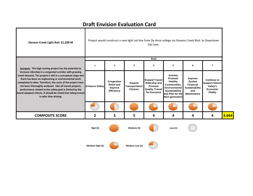| Stevens Creek Light Rail: \$1,500 M                                                                                                                                                                                                                                                                                                                                                                                                                                |                       |                                                          |                                            | San Jose.                                                                                          | Project would construct a new light rail line from De Anza college via Stevens Creek Blvd. to Downtown                                        |                                                                                                    |                                                                                                |       |
|--------------------------------------------------------------------------------------------------------------------------------------------------------------------------------------------------------------------------------------------------------------------------------------------------------------------------------------------------------------------------------------------------------------------------------------------------------------------|-----------------------|----------------------------------------------------------|--------------------------------------------|----------------------------------------------------------------------------------------------------|-----------------------------------------------------------------------------------------------------------------------------------------------|----------------------------------------------------------------------------------------------------|------------------------------------------------------------------------------------------------|-------|
| Synopsis: This high scoring project has the potential to                                                                                                                                                                                                                                                                                                                                                                                                           | $\mathbf{1}$          | $\mathbf{2}$                                             | $\overline{\mathbf{3}}$                    | Goals<br>4                                                                                         | 5                                                                                                                                             | 6                                                                                                  | $\overline{ }$                                                                                 |       |
| increase ridership in a congested corridor with growing<br>travel demand. The project is still in a conceptual stage and<br>there has been no engineering or environmental work<br>completed to date. Therefore, the costs of the project have<br>not been thoroughly analyzed. Like all transit projects,<br>performance related to the safety goal is limited by the<br>board-adopted criteria. It should be noted that taking transit<br>is safer than driving. | <b>Enhance Safety</b> | Congestion<br><b>Relief and</b><br>Improve<br>Efficiency | Expand<br>Transportation<br><b>Choices</b> | <b>Expand Transit</b><br><b>Ridership and</b><br>Promote<br><b>Quality Transit</b><br>for Everyone | <b>Actively</b><br>Promote<br><b>Healthy</b><br>Communities,<br>Environmental<br>Sustainability<br>and Plan for the<br><b>Next generation</b> | Improve<br><b>System</b><br><b>Financial</b><br><b>Sustainability</b><br>and<br><b>Maintenance</b> | <b>Continue to</b><br><b>Support Silicon</b><br>Valley's<br><b>Economic</b><br><b>Vitality</b> |       |
|                                                                                                                                                                                                                                                                                                                                                                                                                                                                    |                       |                                                          |                                            |                                                                                                    |                                                                                                                                               |                                                                                                    |                                                                                                |       |
| <b>COMPOSITE SCORE</b>                                                                                                                                                                                                                                                                                                                                                                                                                                             | 2                     | 3                                                        | 5                                          | 4                                                                                                  | 4                                                                                                                                             | 4                                                                                                  | 4                                                                                              | 3.664 |
|                                                                                                                                                                                                                                                                                                                                                                                                                                                                    | High (5)              |                                                          | Medium (3)                                 |                                                                                                    | Low $(1)$                                                                                                                                     |                                                                                                    |                                                                                                |       |
|                                                                                                                                                                                                                                                                                                                                                                                                                                                                    | Medium High (4)       |                                                          | Medium Low (2)                             |                                                                                                    |                                                                                                                                               |                                                                                                    |                                                                                                |       |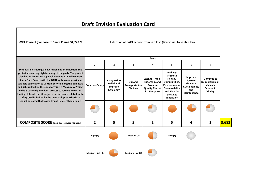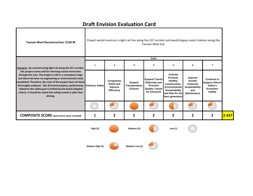a l

| Tasman West Reconstruction: \$150 M                                                                                                                                                                                                                                                                                                                                                                                                                                            |                 | Project would construct a light rail line along the 237 corridor and would bypass select stations along the<br>Tasman West line. |                                            |                                                                                                    |                                                                                                                                        |                                                                                             |                                                                                                |       |  |
|--------------------------------------------------------------------------------------------------------------------------------------------------------------------------------------------------------------------------------------------------------------------------------------------------------------------------------------------------------------------------------------------------------------------------------------------------------------------------------|-----------------|----------------------------------------------------------------------------------------------------------------------------------|--------------------------------------------|----------------------------------------------------------------------------------------------------|----------------------------------------------------------------------------------------------------------------------------------------|---------------------------------------------------------------------------------------------|------------------------------------------------------------------------------------------------|-------|--|
|                                                                                                                                                                                                                                                                                                                                                                                                                                                                                |                 |                                                                                                                                  |                                            | Goals                                                                                              |                                                                                                                                        |                                                                                             |                                                                                                |       |  |
| Synopsis: By reconstructing light rail along the 237 corridor,                                                                                                                                                                                                                                                                                                                                                                                                                 | $\mathbf{1}$    | $\mathbf{2}$                                                                                                                     | 3                                          | 4                                                                                                  | 5                                                                                                                                      | 6                                                                                           | $\overline{7}$                                                                                 |       |  |
| this project scores well for imroving transit travel time<br>through the area. The project is still in a conceptual stage<br>and there has been no engineering or environmental work<br>completed. Therefore, the costs of the project have not been<br>thoroughly analyzed. Like all transit projects, performance Enhance Safety<br>related to the safety goal is limited by the board-adopted<br>criteria. It should be noted that taking transit is safer than<br>driving. |                 | Congestion<br><b>Relief and</b><br>Improve<br>Efficiency                                                                         | Expand<br>Transportation<br><b>Choices</b> | <b>Expand Transit</b><br><b>Ridership and</b><br>Promote<br><b>Quality Transit</b><br>for Everyone | <b>Actively</b><br>Promote<br>Healthy<br>Communities,<br>Environmental<br>Sustainability<br>and Plan for the<br><b>Next generation</b> | Improve<br>System<br><b>Financial</b><br><b>Sustainability</b><br>and<br><b>Maintenance</b> | <b>Continue to</b><br><b>Support Silicon</b><br>Valley's<br><b>Economic</b><br><b>Vitality</b> |       |  |
|                                                                                                                                                                                                                                                                                                                                                                                                                                                                                |                 |                                                                                                                                  |                                            |                                                                                                    |                                                                                                                                        |                                                                                             |                                                                                                |       |  |
| <b>COMPOSITE SCORE</b> (Goal Scores were rounded)                                                                                                                                                                                                                                                                                                                                                                                                                              | 1               | 2                                                                                                                                | 5                                          | 2                                                                                                  | 3                                                                                                                                      | $\overline{2}$                                                                              | $\mathbf{2}$                                                                                   | 2.427 |  |
|                                                                                                                                                                                                                                                                                                                                                                                                                                                                                | <b>High (5)</b> |                                                                                                                                  | Medium (3)                                 |                                                                                                    | Low $(1)$                                                                                                                              |                                                                                             |                                                                                                |       |  |
|                                                                                                                                                                                                                                                                                                                                                                                                                                                                                |                 |                                                                                                                                  |                                            |                                                                                                    |                                                                                                                                        |                                                                                             |                                                                                                |       |  |

**High (4) Medium Low (2)**

**Medium**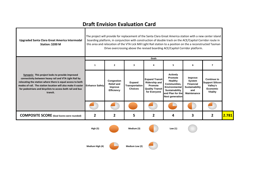Т

 $\sim$ 

| Upgraded Santa Clara Great America Intermodal<br>Station: \$200 M                                                                                                                                                                                                                                                 |                       | The project will provide for replacement of the Santa Clara Great America station with a new center island<br>boarding platform, in conjunction with construction of double track on the ACE/Capitol Corridor route in<br>this area and relocation of the VTA Lick Mill Light Rail station to a position on the a reconstructed Tasman<br>Drive overcrossing above the revised boarding ACE/Capitol Corridor platform.<br>Goals |                                            |                                                                                                    |                                                                                                                                               |                                                                                      |                                                                                         |       |  |
|-------------------------------------------------------------------------------------------------------------------------------------------------------------------------------------------------------------------------------------------------------------------------------------------------------------------|-----------------------|---------------------------------------------------------------------------------------------------------------------------------------------------------------------------------------------------------------------------------------------------------------------------------------------------------------------------------------------------------------------------------------------------------------------------------|--------------------------------------------|----------------------------------------------------------------------------------------------------|-----------------------------------------------------------------------------------------------------------------------------------------------|--------------------------------------------------------------------------------------|-----------------------------------------------------------------------------------------|-------|--|
|                                                                                                                                                                                                                                                                                                                   |                       |                                                                                                                                                                                                                                                                                                                                                                                                                                 |                                            |                                                                                                    |                                                                                                                                               |                                                                                      |                                                                                         |       |  |
|                                                                                                                                                                                                                                                                                                                   | $\mathbf{1}$          | $\mathbf{2}$                                                                                                                                                                                                                                                                                                                                                                                                                    | $\overline{\mathbf{3}}$                    | 4                                                                                                  | 5                                                                                                                                             | 6                                                                                    | $\overline{7}$                                                                          |       |  |
| Synopsis: This project looks to provide improved<br>connectivity between heavy rail and VTA Light Rail by<br>relocating the station where there is equal access to both<br>modes of rail. The station location will also make it easier<br>for pedestrians and bicyclists to access both rail and bus<br>transit. | <b>Enhance Safety</b> | Congestion<br><b>Relief and</b><br>Improve<br>Efficiency                                                                                                                                                                                                                                                                                                                                                                        | Expand<br>Transportation<br><b>Choices</b> | <b>Expand Transit</b><br><b>Ridership and</b><br>Promote<br><b>Quality Transit</b><br>for Everyone | <b>Actively</b><br>Promote<br>Healthy<br>Communities,<br><b>Environmental</b><br>Sustainability<br>and Plan for the<br><b>Next generation</b> | Improve<br>System<br><b>Financial</b><br>Sustainability<br>and<br><b>Maintenance</b> | <b>Continue to</b><br><b>Support Silicon</b><br>Valley's<br>Economic<br><b>Vitality</b> |       |  |
|                                                                                                                                                                                                                                                                                                                   |                       |                                                                                                                                                                                                                                                                                                                                                                                                                                 |                                            |                                                                                                    |                                                                                                                                               |                                                                                      |                                                                                         |       |  |
| <b>COMPOSITE SCORE</b> (Goal Scores were rounded)                                                                                                                                                                                                                                                                 | 2                     | 2                                                                                                                                                                                                                                                                                                                                                                                                                               | 5                                          | 2                                                                                                  | 4                                                                                                                                             | 3                                                                                    | $\mathbf{2}$                                                                            | 2.781 |  |
|                                                                                                                                                                                                                                                                                                                   | <b>High (5)</b>       |                                                                                                                                                                                                                                                                                                                                                                                                                                 | Medium (3)                                 |                                                                                                    | Low $(1)$                                                                                                                                     |                                                                                      |                                                                                         |       |  |
|                                                                                                                                                                                                                                                                                                                   |                       |                                                                                                                                                                                                                                                                                                                                                                                                                                 |                                            |                                                                                                    |                                                                                                                                               |                                                                                      |                                                                                         |       |  |

**Medium**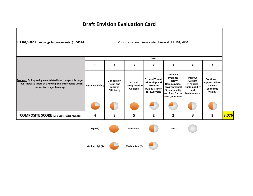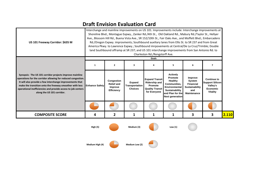| US 101 Freeway Corridor: \$635 M                                                                                                                                                                                                                                                                                                             | Interchange and mainline improvements on US 101. Improvements include: Interchange improvements at<br>Shoreline Blvd., Montague Expwy., Zanker Rd./4th St., Old Oakland Rd., Mabury Rd./Taylor St., Hellyer<br>Ave., Blossom Hill Rd., Buena Vista Ave., SR 152/10th St., Fair Oaks Ave., and Moffett Blvd.; Embarcadero<br>Rd./Oregon Expwy. improvments; Southbound auxiliary lanes from Ellis St. to SR 237 and from Great<br>America Pkwy. to Lawrence Expwy.; Southbound imrpovements at Central/De La Cruz/Trimble; Double<br>land Southbound offramp at SR 237; and US 101 interchange improvements from San Antonio Rd. to<br>Charleston Rd./Rengstorff Ave.<br>Goals |                                                                 |                                            |                                                                                                    |                                                                                                                                                      |                                                                                             |                                                                                         |       |  |
|----------------------------------------------------------------------------------------------------------------------------------------------------------------------------------------------------------------------------------------------------------------------------------------------------------------------------------------------|-------------------------------------------------------------------------------------------------------------------------------------------------------------------------------------------------------------------------------------------------------------------------------------------------------------------------------------------------------------------------------------------------------------------------------------------------------------------------------------------------------------------------------------------------------------------------------------------------------------------------------------------------------------------------------|-----------------------------------------------------------------|--------------------------------------------|----------------------------------------------------------------------------------------------------|------------------------------------------------------------------------------------------------------------------------------------------------------|---------------------------------------------------------------------------------------------|-----------------------------------------------------------------------------------------|-------|--|
| Synopsis: The US 101 corridor projects improve mainline<br>operations for the corridor allowing for reduced congestion.<br>It will also provide a few interchange improvements that<br>make the transition onto the freeway smoother with less<br>operational inefficiencies and provide access to job centers<br>along the US 101 corridor. | $\mathbf{1}$                                                                                                                                                                                                                                                                                                                                                                                                                                                                                                                                                                                                                                                                  | $\mathbf{2}$                                                    | 3                                          | 4                                                                                                  | 5                                                                                                                                                    | 6                                                                                           | 7                                                                                       |       |  |
|                                                                                                                                                                                                                                                                                                                                              | <b>Enhance Safety</b>                                                                                                                                                                                                                                                                                                                                                                                                                                                                                                                                                                                                                                                         | Congestion<br><b>Relief and</b><br>Improve<br><b>Efficiency</b> | Expand<br>Transportation<br><b>Choices</b> | <b>Expand Transit</b><br><b>Ridership and</b><br>Promote<br><b>Quality Transit</b><br>for Everyone | <b>Actively</b><br><b>Promote</b><br>Healthy<br>Communities,<br><b>Environmental</b><br>Sustainability<br>and Plan for the<br><b>Next generation</b> | Improve<br>System<br><b>Financial</b><br><b>Sustainability</b><br>and<br><b>Maintenance</b> | <b>Continue to</b><br><b>Support Silicon</b><br>Valley's<br>Economic<br><b>Vitality</b> |       |  |
|                                                                                                                                                                                                                                                                                                                                              |                                                                                                                                                                                                                                                                                                                                                                                                                                                                                                                                                                                                                                                                               |                                                                 |                                            |                                                                                                    |                                                                                                                                                      |                                                                                             |                                                                                         |       |  |
| <b>COMPOSITE SCORE</b>                                                                                                                                                                                                                                                                                                                       | 4                                                                                                                                                                                                                                                                                                                                                                                                                                                                                                                                                                                                                                                                             | 2                                                               | 1                                          | 1                                                                                                  | 1                                                                                                                                                    | 3                                                                                           | 3                                                                                       | 2.110 |  |
|                                                                                                                                                                                                                                                                                                                                              | High (5)                                                                                                                                                                                                                                                                                                                                                                                                                                                                                                                                                                                                                                                                      |                                                                 | Medium (3)                                 |                                                                                                    | Low $(1)$                                                                                                                                            |                                                                                             |                                                                                         |       |  |
|                                                                                                                                                                                                                                                                                                                                              | Medium High (4)                                                                                                                                                                                                                                                                                                                                                                                                                                                                                                                                                                                                                                                               |                                                                 | Medium Low (2)                             |                                                                                                    |                                                                                                                                                      |                                                                                             |                                                                                         |       |  |